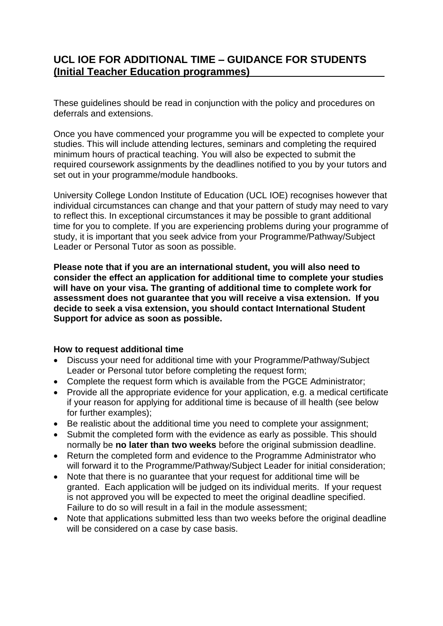# **UCL IOE FOR ADDITIONAL TIME – GUIDANCE FOR STUDENTS (Initial Teacher Education programmes)**

These guidelines should be read in conjunction with the policy and procedures on deferrals and extensions.

Once you have commenced your programme you will be expected to complete your studies. This will include attending lectures, seminars and completing the required minimum hours of practical teaching. You will also be expected to submit the required coursework assignments by the deadlines notified to you by your tutors and set out in your programme/module handbooks.

University College London Institute of Education (UCL IOE) recognises however that individual circumstances can change and that your pattern of study may need to vary to reflect this. In exceptional circumstances it may be possible to grant additional time for you to complete. If you are experiencing problems during your programme of study, it is important that you seek advice from your Programme/Pathway/Subject Leader or Personal Tutor as soon as possible.

**Please note that if you are an international student, you will also need to consider the effect an application for additional time to complete your studies will have on your visa. The granting of additional time to complete work for assessment does not guarantee that you will receive a visa extension. If you decide to seek a visa extension, you should contact International Student Support for advice as soon as possible.**

### **How to request additional time**

- Discuss your need for additional time with your Programme/Pathway/Subject Leader or Personal tutor before completing the request form;
- Complete the request form which is available from the PGCE Administrator;
- Provide all the appropriate evidence for your application, e.g. a medical certificate if your reason for applying for additional time is because of ill health (see below for further examples);
- Be realistic about the additional time you need to complete your assignment;
- Submit the completed form with the evidence as early as possible. This should normally be **no later than two weeks** before the original submission deadline.
- Return the completed form and evidence to the Programme Administrator who will forward it to the Programme/Pathway/Subject Leader for initial consideration;
- Note that there is no quarantee that your request for additional time will be granted. Each application will be judged on its individual merits. If your request is not approved you will be expected to meet the original deadline specified. Failure to do so will result in a fail in the module assessment;
- Note that applications submitted less than two weeks before the original deadline will be considered on a case by case basis.